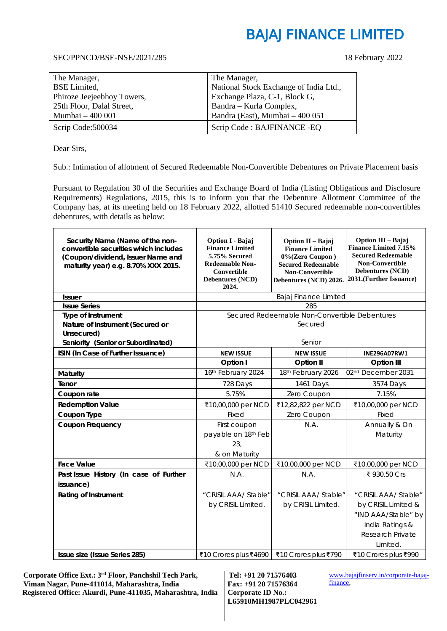#### SEC/PPNCD/BSE-NSE/2021/285 18 February 2022

| The Manager,               | The Manager,                           |
|----------------------------|----------------------------------------|
| <b>BSE</b> Limited,        | National Stock Exchange of India Ltd., |
| Phiroze Jeejeebhoy Towers, | Exchange Plaza, C-1, Block G,          |
| 25th Floor, Dalal Street,  | Bandra - Kurla Complex,                |
| Mumbai - 400 001           | Bandra (East), Mumbai - 400 051        |
| Scrip Code: 500034         | Scrip Code: BAJFINANCE - EQ            |

Dear Sirs,

 $\overline{a}$ 

Sub.: Intimation of allotment of Secured Redeemable Non-Convertible Debentures on Private Placement basis

Pursuant to Regulation 30 of the Securities and Exchange Board of India (Listing Obligations and Disclosure Requirements) Regulations, 2015, this is to inform you that the Debenture Allotment Committee of the Company has, at its meeting held on 18 February 2022, allotted 51410 Secured redeemable non-convertibles debentures, with details as below:

| Security Name (Name of the non-<br>convertible securities which includes<br>(Coupon/dividend, Issuer Name and<br>maturity year) e.g. 8.70% XXX 2015. | <b>Option I - Bajaj</b><br><b>Finance Limited</b><br>5.75% Secured<br><b>Redeemable Non-</b><br><b>Convertible</b><br><b>Debentures (NCD)</b><br>2024. | Option II - Bajaj<br><b>Finance Limited</b><br>0%(Zero Coupon)<br><b>Secured Redeemable</b><br><b>Non-Convertible</b><br>Debentures (NCD) 2026. | Option III - Bajaj<br><b>Finance Limited 7.15%</b><br><b>Secured Redeemable</b><br>Non-Convertible<br><b>Debentures (NCD)</b><br>2031.(Further Issuance) |
|------------------------------------------------------------------------------------------------------------------------------------------------------|--------------------------------------------------------------------------------------------------------------------------------------------------------|-------------------------------------------------------------------------------------------------------------------------------------------------|----------------------------------------------------------------------------------------------------------------------------------------------------------|
| <b>Issuer</b>                                                                                                                                        |                                                                                                                                                        | Bajaj Finance Limited                                                                                                                           |                                                                                                                                                          |
| <b>Issue Series</b>                                                                                                                                  |                                                                                                                                                        | 285                                                                                                                                             |                                                                                                                                                          |
| Type of Instrument                                                                                                                                   |                                                                                                                                                        | Secured Redeemable Non-Convertible Debentures                                                                                                   |                                                                                                                                                          |
| Nature of Instrument (Secured or<br>Unsecured)                                                                                                       |                                                                                                                                                        | Secured                                                                                                                                         |                                                                                                                                                          |
| Seniority (Senior or Subordinated)                                                                                                                   |                                                                                                                                                        | Senior                                                                                                                                          |                                                                                                                                                          |
| ISIN (In Case of Further Issuance)                                                                                                                   | <b>NEW ISSUE</b>                                                                                                                                       | <b>NEW ISSUE</b>                                                                                                                                | <b>INE296A07RW1</b>                                                                                                                                      |
|                                                                                                                                                      | Option I                                                                                                                                               | Option II                                                                                                                                       | <b>Option III</b>                                                                                                                                        |
| <b>Maturity</b>                                                                                                                                      | 16th February 2024                                                                                                                                     | 18th February 2026                                                                                                                              | 02 <sup>nd</sup> December 2031                                                                                                                           |
| Tenor                                                                                                                                                | 728 Days                                                                                                                                               | 1461 Days                                                                                                                                       | 3574 Days                                                                                                                                                |
| Coupon rate                                                                                                                                          | 5.75%                                                                                                                                                  | Zero Coupon                                                                                                                                     | 7.15%                                                                                                                                                    |
| <b>Redemption Value</b>                                                                                                                              | ₹10,00,000 per NCD                                                                                                                                     | ₹12,82,822 per NCD                                                                                                                              | ₹10,00,000 per NCD                                                                                                                                       |
| Coupon Type                                                                                                                                          | Fixed                                                                                                                                                  | Zero Coupon                                                                                                                                     | Fixed                                                                                                                                                    |
| <b>Coupon Frequency</b>                                                                                                                              | First coupon<br>payable on 18th Feb<br>23,<br>& on Maturity                                                                                            | N.A.                                                                                                                                            | Annually & On<br>Maturity                                                                                                                                |
| <b>Face Value</b>                                                                                                                                    | ₹10,00,000 per NCD                                                                                                                                     | ₹10,00,000 per NCD                                                                                                                              | ₹10,00,000 per NCD                                                                                                                                       |
| Past Issue History (In case of Further<br>issuance)                                                                                                  | N.A.                                                                                                                                                   | N.A.                                                                                                                                            | ₹ 930.50 Crs                                                                                                                                             |
| <b>Rating of Instrument</b>                                                                                                                          | "CRISIL AAA/ Stable"                                                                                                                                   | "CRISIL AAA/ Stable"                                                                                                                            | "CRISIL AAA/ Stable"                                                                                                                                     |
|                                                                                                                                                      | by CRISIL Limited.                                                                                                                                     | by CRISIL Limited.                                                                                                                              | by CRISIL Limited &<br>"IND AAA/Stable" by<br>India Ratings &<br>Research Private<br>Limited.                                                            |
| Issue size (Issue Series 285)                                                                                                                        | ₹10 Crores plus ₹4690   ₹10 Crores plus ₹790                                                                                                           |                                                                                                                                                 | ₹10 Crores plus ₹990                                                                                                                                     |

 **Corporate Office Ext.: 3rd Floor, Panchshil Tech Park, Viman Nagar, Pune-411014, Maharashtra, India Registered Office: Akurdi, Pune-411035, Maharashtra, India** 

**Tel: +91 20 71576403 Fax: +91 20 71576364 Corporate ID No.: L65910MH1987PLC042961**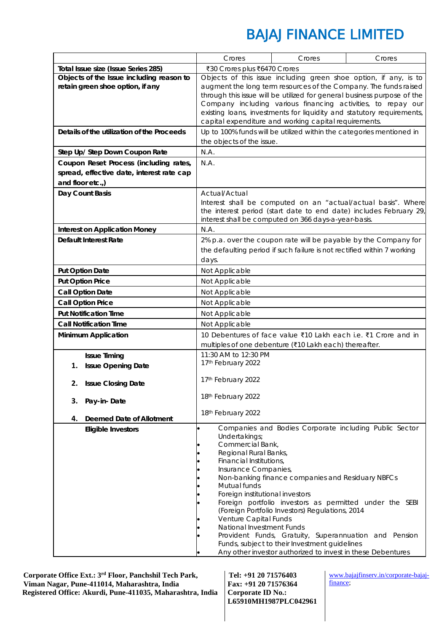|                                            | Crores                                          | Crores                                                                  | Crores                                                                                                                                |
|--------------------------------------------|-------------------------------------------------|-------------------------------------------------------------------------|---------------------------------------------------------------------------------------------------------------------------------------|
| Total Issue size (Issue Series 285)        | ₹30 Crores plus ₹6470 Crores                    |                                                                         |                                                                                                                                       |
| Objects of the Issue including reason to   |                                                 |                                                                         | Objects of this issue including green shoe option, if any, is to                                                                      |
| retain green shoe option, if any           |                                                 |                                                                         | augment the long term resources of the Company. The funds raised                                                                      |
|                                            |                                                 |                                                                         | through this issue will be utilized for general business purpose of the                                                               |
|                                            |                                                 |                                                                         | Company including various financing activities, to repay our<br>existing loans, investments for liquidity and statutory requirements, |
|                                            |                                                 | capital expenditure and working capital requirements.                   |                                                                                                                                       |
| Details of the utilization of the Proceeds |                                                 |                                                                         | Up to 100% funds will be utilized within the categories mentioned in                                                                  |
|                                            | the objects of the issue.                       |                                                                         |                                                                                                                                       |
| Step Up/ Step Down Coupon Rate             | N.A.                                            |                                                                         |                                                                                                                                       |
| Coupon Reset Process (including rates,     | N.A.                                            |                                                                         |                                                                                                                                       |
| spread, effective date, interest rate cap  |                                                 |                                                                         |                                                                                                                                       |
| and floor etc.,)                           |                                                 |                                                                         |                                                                                                                                       |
| Day Count Basis                            | Actual/Actual                                   |                                                                         |                                                                                                                                       |
|                                            |                                                 |                                                                         | Interest shall be computed on an "actual/actual basis". Where                                                                         |
|                                            |                                                 |                                                                         | the interest period (start date to end date) includes February 29,                                                                    |
|                                            |                                                 | interest shall be computed on 366 days-a-year-basis.                    |                                                                                                                                       |
| <b>Interest on Application Money</b>       | N.A.                                            |                                                                         |                                                                                                                                       |
| <b>Default Interest Rate</b>               |                                                 |                                                                         | 2% p.a. over the coupon rate will be payable by the Company for                                                                       |
|                                            |                                                 | the defaulting period if such failure is not rectified within 7 working |                                                                                                                                       |
|                                            | days.                                           |                                                                         |                                                                                                                                       |
| <b>Put Option Date</b>                     | Not Applicable                                  |                                                                         |                                                                                                                                       |
| <b>Put Option Price</b>                    | Not Applicable                                  |                                                                         |                                                                                                                                       |
| <b>Call Option Date</b>                    | Not Applicable                                  |                                                                         |                                                                                                                                       |
| <b>Call Option Price</b>                   | Not Applicable                                  |                                                                         |                                                                                                                                       |
| <b>Put Notification Time</b>               | Not Applicable                                  |                                                                         |                                                                                                                                       |
| <b>Call Notification Time</b>              | Not Applicable                                  |                                                                         |                                                                                                                                       |
| <b>Minimum Application</b>                 |                                                 |                                                                         | 10 Debentures of face value ₹10 Lakh each i.e. ₹1 Crore and in                                                                        |
|                                            |                                                 | multiples of one debenture (₹10 Lakh each) thereafter.                  |                                                                                                                                       |
| <b>Issue Timing</b>                        | 11:30 AM to 12:30 PM                            |                                                                         |                                                                                                                                       |
| 1.<br><b>Issue Opening Date</b>            | 17th February 2022                              |                                                                         |                                                                                                                                       |
| <b>Issue Closing Date</b><br>2.            | 17th February 2022                              |                                                                         |                                                                                                                                       |
|                                            |                                                 |                                                                         |                                                                                                                                       |
| 3. Pay-in-Date                             | 18th February 2022                              |                                                                         |                                                                                                                                       |
|                                            | 18th February 2022                              |                                                                         |                                                                                                                                       |
| <b>Deemed Date of Allotment</b><br>4.      |                                                 |                                                                         |                                                                                                                                       |
| <b>Eligible Investors</b>                  |                                                 |                                                                         | Companies and Bodies Corporate including Public Sector                                                                                |
|                                            | Undertakings;<br>Commercial Bank,               |                                                                         |                                                                                                                                       |
|                                            | Regional Rural Banks,                           |                                                                         |                                                                                                                                       |
|                                            | Financial Institutions,                         |                                                                         |                                                                                                                                       |
|                                            | Insurance Companies,                            |                                                                         |                                                                                                                                       |
|                                            |                                                 | Non-banking finance companies and Residuary NBFCs                       |                                                                                                                                       |
|                                            | Mutual funds<br>Foreign institutional investors |                                                                         |                                                                                                                                       |
|                                            |                                                 |                                                                         | Foreign portfolio investors as permitted under the SEBI                                                                               |
|                                            |                                                 | (Foreign Portfolio Investors) Regulations, 2014                         |                                                                                                                                       |
|                                            | Venture Capital Funds                           |                                                                         |                                                                                                                                       |
|                                            | National Investment Funds                       |                                                                         |                                                                                                                                       |
|                                            |                                                 | Funds, subject to their Investment guidelines                           | Provident Funds, Gratuity, Superannuation and Pension                                                                                 |
|                                            |                                                 | Any other investor authorized to invest in these Debentures             |                                                                                                                                       |

 **Corporate Office Ext.: 3rd Floor, Panchshil Tech Park, Viman Nagar, Pune-411014, Maharashtra, India Registered Office: Akurdi, Pune-411035, Maharashtra, India** 

**Tel: +91 20 71576403 Fax: +91 20 71576364 Corporate ID No.: L65910MH1987PLC042961**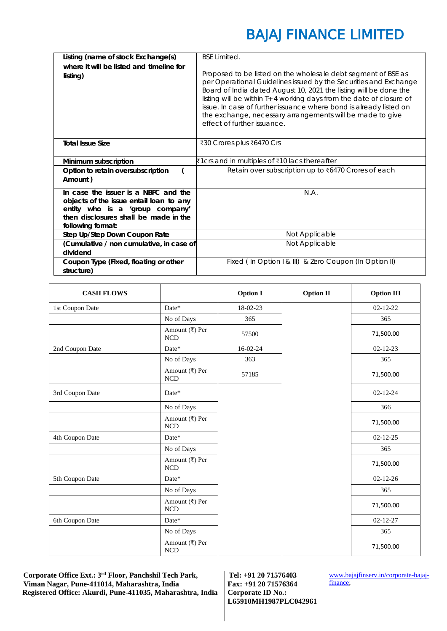| Listing (name of stock Exchange(s)                                                                                                                                               | <b>BSE Limited.</b>                                                                                                                                                                                                                                                                                                                                                                                                                              |
|----------------------------------------------------------------------------------------------------------------------------------------------------------------------------------|--------------------------------------------------------------------------------------------------------------------------------------------------------------------------------------------------------------------------------------------------------------------------------------------------------------------------------------------------------------------------------------------------------------------------------------------------|
| where it will be listed and timeline for<br>listing)                                                                                                                             | Proposed to be listed on the wholesale debt segment of BSE as<br>per Operational Guidelines issued by the Securities and Exchange<br>Board of India dated August 10, 2021 the listing will be done the<br>listing will be within T+ 4 working days from the date of closure of<br>issue. In case of further issuance where bond is already listed on<br>the exchange, necessary arrangements will be made to give<br>effect of further issuance. |
| <b>Total Issue Size</b>                                                                                                                                                          | ₹30 Crores plus ₹6470 Crs                                                                                                                                                                                                                                                                                                                                                                                                                        |
| Minimum subscription                                                                                                                                                             | ₹1crs and in multiples of ₹10 lacs thereafter                                                                                                                                                                                                                                                                                                                                                                                                    |
| Option to retain oversubscription<br>Amount)                                                                                                                                     | Retain over subscription up to ₹6470 Crores of each                                                                                                                                                                                                                                                                                                                                                                                              |
| In case the issuer is a NBFC and the<br>objects of the issue entail loan to any<br>entity who is a 'group company'<br>then disclosures shall be made in the<br>following format: | N.A.                                                                                                                                                                                                                                                                                                                                                                                                                                             |
| Step Up/Step Down Coupon Rate                                                                                                                                                    | Not Applicable                                                                                                                                                                                                                                                                                                                                                                                                                                   |
| (Cumulative / non cumulative, in case of<br>dividend                                                                                                                             | Not Applicable                                                                                                                                                                                                                                                                                                                                                                                                                                   |
| Coupon Type (Fixed, floating or other<br>structure)                                                                                                                              | Fixed (In Option I & III) & Zero Coupon (In Option II)                                                                                                                                                                                                                                                                                                                                                                                           |

| <b>CASH FLOWS</b> |                              | <b>Option I</b> | <b>Option II</b> | <b>Option III</b> |
|-------------------|------------------------------|-----------------|------------------|-------------------|
| 1st Coupon Date   | Date*                        | 18-02-23        |                  | $02 - 12 - 22$    |
|                   | No of Days                   | 365             |                  | 365               |
|                   | Amount (₹) Per<br><b>NCD</b> | 57500           |                  | 71,500.00         |
| 2nd Coupon Date   | Date*                        | 16-02-24        |                  | $02 - 12 - 23$    |
|                   | No of Days                   | 363             |                  | 365               |
|                   | Amount (₹) Per<br>NCD        | 57185           |                  | 71,500.00         |
| 3rd Coupon Date   | Date*                        |                 |                  | $02 - 12 - 24$    |
|                   | No of Days                   |                 |                  | 366               |
|                   | Amount (₹) Per<br>NCD        |                 |                  | 71,500.00         |
| 4th Coupon Date   | Date*                        |                 |                  | $02 - 12 - 25$    |
|                   | No of Days                   |                 |                  | 365               |
|                   | Amount (₹) Per<br>NCD        |                 |                  | 71,500.00         |
| 5th Coupon Date   | Date*                        |                 |                  | $02 - 12 - 26$    |
|                   | No of Days                   |                 |                  | 365               |
|                   | Amount (₹) Per<br>NCD        |                 |                  | 71,500.00         |
| 6th Coupon Date   | Date*                        |                 |                  | $02 - 12 - 27$    |
|                   | No of Days                   |                 |                  | 365               |
|                   | Amount (₹) Per<br><b>NCD</b> |                 |                  | 71,500.00         |

 **Corporate Office Ext.: 3rd Floor, Panchshil Tech Park, Viman Nagar, Pune-411014, Maharashtra, India Registered Office: Akurdi, Pune-411035, Maharashtra, India** 

**Tel: +91 20 71576403 Fax: +91 20 71576364 Corporate ID No.: L65910MH1987PLC042961**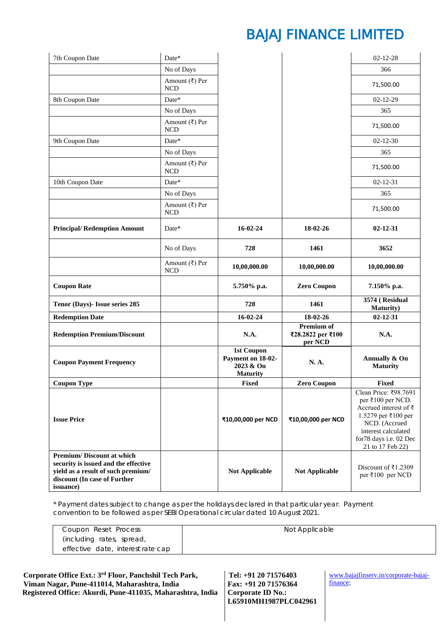| 7th Coupon Date                                                                                                                                             | Date*                                       |                                                                        |                                            | $02 - 12 - 28$                                                                                                                                                                           |
|-------------------------------------------------------------------------------------------------------------------------------------------------------------|---------------------------------------------|------------------------------------------------------------------------|--------------------------------------------|------------------------------------------------------------------------------------------------------------------------------------------------------------------------------------------|
|                                                                                                                                                             | No of Days                                  |                                                                        |                                            | 366                                                                                                                                                                                      |
|                                                                                                                                                             | Amount (₹) Per<br><b>NCD</b>                |                                                                        |                                            | 71,500.00                                                                                                                                                                                |
| 8th Coupon Date                                                                                                                                             | Date*                                       |                                                                        |                                            | $02 - 12 - 29$                                                                                                                                                                           |
|                                                                                                                                                             | No of Days                                  |                                                                        |                                            | 365                                                                                                                                                                                      |
|                                                                                                                                                             | Amount $(\overline{\xi})$ Per<br><b>NCD</b> |                                                                        |                                            | 71,500.00                                                                                                                                                                                |
| 9th Coupon Date                                                                                                                                             | Date*                                       |                                                                        |                                            | $02 - 12 - 30$                                                                                                                                                                           |
|                                                                                                                                                             | No of Days                                  |                                                                        |                                            | 365                                                                                                                                                                                      |
|                                                                                                                                                             | Amount $(\overline{\xi})$ Per<br><b>NCD</b> |                                                                        |                                            | 71,500.00                                                                                                                                                                                |
| 10th Coupon Date                                                                                                                                            | Date*                                       |                                                                        |                                            | $02 - 12 - 31$                                                                                                                                                                           |
|                                                                                                                                                             | No of Days                                  |                                                                        |                                            | 365                                                                                                                                                                                      |
|                                                                                                                                                             | Amount $(\overline{\xi})$ Per<br><b>NCD</b> |                                                                        |                                            | 71,500.00                                                                                                                                                                                |
| <b>Principal/Redemption Amount</b>                                                                                                                          | Date*                                       | $16 - 02 - 24$                                                         | 18-02-26                                   | $02 - 12 - 31$                                                                                                                                                                           |
|                                                                                                                                                             | No of Days                                  | 728                                                                    | 1461                                       | 3652                                                                                                                                                                                     |
|                                                                                                                                                             | Amount $(\overline{\xi})$ Per<br>$\rm NCD$  | 10,00,000.00                                                           | 10,00,000.00                               | 10,00,000.00                                                                                                                                                                             |
| <b>Coupon Rate</b>                                                                                                                                          |                                             | 5.750% p.a.                                                            | <b>Zero Coupon</b>                         | 7.150% p.a.                                                                                                                                                                              |
| Tenor (Days)- Issue series 285                                                                                                                              |                                             | 728                                                                    | 1461                                       | 3574 (Residual<br><b>Maturity</b> )                                                                                                                                                      |
| <b>Redemption Date</b>                                                                                                                                      |                                             | $16 - 02 - 24$                                                         | 18-02-26                                   | $02 - 12 - 31$                                                                                                                                                                           |
| <b>Redemption Premium/Discount</b>                                                                                                                          |                                             | N.A.                                                                   | Premium of<br>₹28.2822 per ₹100<br>per NCD | N.A.                                                                                                                                                                                     |
| <b>Coupon Payment Frequency</b>                                                                                                                             |                                             | <b>1st Coupon</b><br>Payment on 18-02-<br>2023 & On<br><b>Maturity</b> | N. A.                                      | Annually & On<br><b>Maturity</b>                                                                                                                                                         |
| <b>Coupon Type</b>                                                                                                                                          |                                             | <b>Fixed</b>                                                           | <b>Zero Coupon</b>                         | Fixed                                                                                                                                                                                    |
| <b>Issue Price</b>                                                                                                                                          |                                             | ₹10,00,000 per NCD                                                     | ₹10,00,000 per NCD                         | Clean Price: ₹98.7691<br>per ₹100 per NCD.<br>Accrued interest of $\bar{z}$<br>1.5279 per ₹100 per<br>NCD. (Accrued<br>interest calculated<br>for78 days i.e. 02 Dec<br>21 to 17 Feb 22) |
| <b>Premium/Discount at which</b><br>security is issued and the effective<br>yield as a result of such premium/<br>discount (In case of Further<br>issuance) |                                             | <b>Not Applicable</b>                                                  | <b>Not Applicable</b>                      | Discount of $\bar{\tau}$ 1.2309<br>per ₹100 per NCD                                                                                                                                      |

\* *Payment dates subject to change as per the holidays declared in that particular year. Payment convention to be followed as per SEBI Operational circular dated 10 August 2021.*

| Coupon Reset Process              | Not Applicable |
|-----------------------------------|----------------|
| (including rates, spread,         |                |
| effective date, interest rate cap |                |

| Corporate Office Ext.: 3 <sup>rd</sup> Floor, Panchshil Tech Park,             | $\vert$ Tel: +91 20 71576403 | www.   |
|--------------------------------------------------------------------------------|------------------------------|--------|
| Viman Nagar, Pune-411014, Maharashtra, India                                   | Fax: +91 20 71576364         | financ |
| Registered Office: Akurdi, Pune-411035, Maharashtra, India   Corporate ID No.: |                              |        |

**Tel: +91 20 71576403 Corporate ID No.: L65910MH1987PLC042961**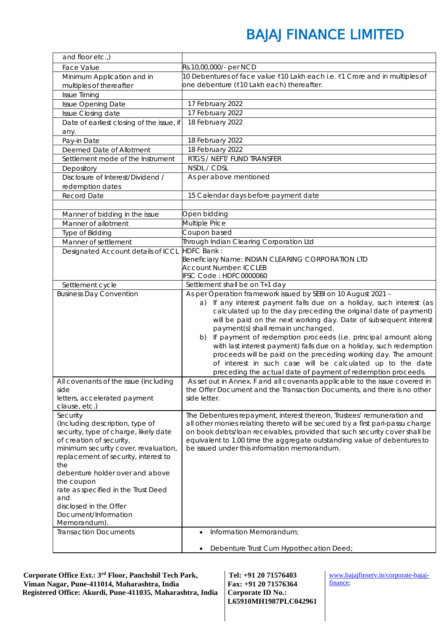| and floor etc.,)                              |                                                                                                                                                        |
|-----------------------------------------------|--------------------------------------------------------------------------------------------------------------------------------------------------------|
| Face Value                                    | Rs.10,00,000/- per NCD                                                                                                                                 |
| Minimum Application and in                    | 10 Debentures of face value ₹10 Lakh each i.e. ₹1 Crore and in multiples of                                                                            |
| multiples of thereafter                       | one debenture (₹10 Lakh each) thereafter.                                                                                                              |
| <b>Issue Timing</b>                           |                                                                                                                                                        |
| Issue Opening Date                            | 17 February 2022                                                                                                                                       |
| Issue Closing date                            | 17 February 2022                                                                                                                                       |
| Date of earliest closing of the issue, if     | 18 February 2022                                                                                                                                       |
| any.                                          |                                                                                                                                                        |
| Pay-in Date                                   | 18 February 2022                                                                                                                                       |
| Deemed Date of Allotment                      | 18 February 2022                                                                                                                                       |
| Settlement mode of the Instrument             | RTGS / NEFT/ FUND TRANSFER                                                                                                                             |
| Depository                                    | NSDL / CDSL                                                                                                                                            |
| Disclosure of Interest/Dividend /             | As per above mentioned                                                                                                                                 |
| redemption dates                              |                                                                                                                                                        |
| Record Date                                   | 15 Calendar days before payment date                                                                                                                   |
|                                               |                                                                                                                                                        |
| Manner of bidding in the issue                | Open bidding                                                                                                                                           |
| Manner of allotment                           | Multiple Price                                                                                                                                         |
| Type of Bidding                               | Coupon based                                                                                                                                           |
| Manner of settlement                          | Through Indian Clearing Corporation Ltd                                                                                                                |
| Designated Account details of ICCL            | <b>HDFC Bank:</b>                                                                                                                                      |
|                                               | Beneficiary Name: INDIAN CLEARING CORPORATION LTD<br><b>Account Number: ICCLEB</b>                                                                     |
|                                               | IFSC Code: HDFC0000060                                                                                                                                 |
| Settlement cycle                              | Settlement shall be on T+1 day                                                                                                                         |
| <b>Business Day Convention</b>                | As per Operation framework issued by SEBI on 10 August 2021 -                                                                                          |
|                                               | a) If any interest payment falls due on a holiday, such interest (as                                                                                   |
|                                               | calculated up to the day preceding the original date of payment)                                                                                       |
|                                               | will be paid on the next working day. Date of subsequent interest                                                                                      |
|                                               | payment(s) shall remain unchanged.                                                                                                                     |
|                                               | If payment of redemption proceeds (i.e. principal amount along<br>b)                                                                                   |
|                                               | with last interest payment) falls due on a holiday, such redemption                                                                                    |
|                                               | proceeds will be paid on the preceding working day. The amount                                                                                         |
|                                               | of interest in such case will be calculated up to the date                                                                                             |
|                                               | preceding the actual date of payment of redemption proceeds.                                                                                           |
| All covenants of the issue (including<br>side | As set out in Annex. F and all covenants applicable to the issue covered in<br>the Offer Document and the Transaction Documents, and there is no other |
| letters, accelerated payment                  | side letter.                                                                                                                                           |
| clause, etc.)                                 |                                                                                                                                                        |
| Security                                      | The Debentures repayment, interest thereon, Trustees' remuneration and                                                                                 |
| (Including description, type of               | all other monies relating thereto will be secured by a first pari-passu charge                                                                         |
| security, type of charge, likely date         | on book debts/loan receivables, provided that such security cover shall be                                                                             |
| of creation of security,                      | equivalent to 1.00 time the aggregate outstanding value of debentures to                                                                               |
| minimum security cover, revaluation,          | be issued under this information memorandum.                                                                                                           |
| replacement of security, interest to          |                                                                                                                                                        |
| the<br>debenture holder over and above        |                                                                                                                                                        |
| the coupon                                    |                                                                                                                                                        |
| rate as specified in the Trust Deed           |                                                                                                                                                        |
| and                                           |                                                                                                                                                        |
| disclosed in the Offer                        |                                                                                                                                                        |
| Document/Information                          |                                                                                                                                                        |
| Memorandum).                                  |                                                                                                                                                        |
| <b>Transaction Documents</b>                  | Information Memorandum;<br>$\bullet$                                                                                                                   |
|                                               |                                                                                                                                                        |
|                                               | Debenture Trust Cum Hypothecation Deed;                                                                                                                |

 **Corporate Office Ext.: 3rd Floor, Panchshil Tech Park, Viman Nagar, Pune-411014, Maharashtra, India Registered Office: Akurdi, Pune-411035, Maharashtra, India** 

**Tel: +91 20 71576403 Fax: +91 20 71576364 Corporate ID No.: L65910MH1987PLC042961**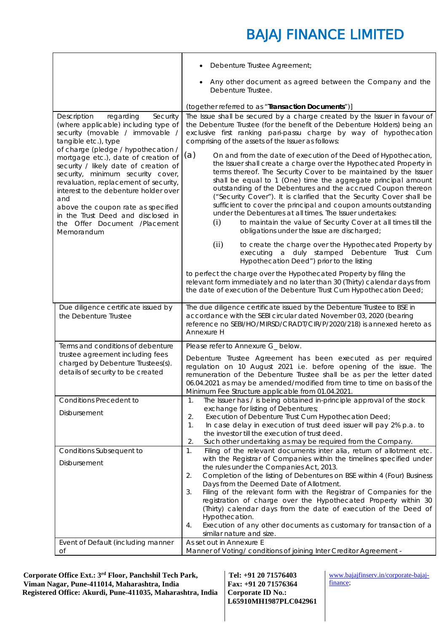|                                                                                                                                                                                                                                                                                                | Debenture Trustee Agreement;                                                                                                                                                                                                                                                                                                                                                                                                                                                                                                                                                                            |
|------------------------------------------------------------------------------------------------------------------------------------------------------------------------------------------------------------------------------------------------------------------------------------------------|---------------------------------------------------------------------------------------------------------------------------------------------------------------------------------------------------------------------------------------------------------------------------------------------------------------------------------------------------------------------------------------------------------------------------------------------------------------------------------------------------------------------------------------------------------------------------------------------------------|
|                                                                                                                                                                                                                                                                                                | Any other document as agreed between the Company and the<br>Debenture Trustee.                                                                                                                                                                                                                                                                                                                                                                                                                                                                                                                          |
|                                                                                                                                                                                                                                                                                                | (together referred to as "Transaction Documents")]                                                                                                                                                                                                                                                                                                                                                                                                                                                                                                                                                      |
| Description<br>regarding<br>Security<br>(where applicable) including type of<br>security (movable / immovable /<br>tangible etc.), type<br>of charge (pledge / hypothecation /<br>mortgage etc.), date of creation of                                                                          | The Issue shall be secured by a charge created by the Issuer in favour of<br>the Debenture Trustee (for the benefit of the Debenture Holders) being an<br>exclusive first ranking pari-passu charge by way of hypothecation<br>comprising of the assets of the Issuer as follows:<br>(a)<br>On and from the date of execution of the Deed of Hypothecation,                                                                                                                                                                                                                                             |
| security / likely date of creation of<br>security, minimum security cover,<br>revaluation, replacement of security,<br>interest to the debenture holder over<br>and<br>above the coupon rate as specified<br>in the Trust Deed and disclosed in<br>the Offer Document /Placement<br>Memorandum | the Issuer shall create a charge over the Hypothecated Property in<br>terms thereof. The Security Cover to be maintained by the Issuer<br>shall be equal to 1 (One) time the aggregate principal amount<br>outstanding of the Debentures and the accrued Coupon thereon<br>("Security Cover"). It is clarified that the Security Cover shall be<br>sufficient to cover the principal and coupon amounts outstanding<br>under the Debentures at all times. The Issuer undertakes:<br>to maintain the value of Security Cover at all times till the<br>(i)<br>obligations under the Issue are discharged; |
|                                                                                                                                                                                                                                                                                                | (ii)<br>to create the charge over the Hypothecated Property by<br>executing a duly stamped Debenture Trust Cum<br>Hypothecation Deed") prior to the listing                                                                                                                                                                                                                                                                                                                                                                                                                                             |
|                                                                                                                                                                                                                                                                                                | to perfect the charge over the Hypothecated Property by filing the<br>relevant form immediately and no later than 30 (Thirty) calendar days from<br>the date of execution of the Debenture Trust Cum Hypothecation Deed;                                                                                                                                                                                                                                                                                                                                                                                |
| Due diligence certificate issued by<br>the Debenture Trustee                                                                                                                                                                                                                                   | The due diligence certificate issued by the Debenture Trustee to BSE in<br>accordance with the SEBI circular dated November 03, 2020 (bearing<br>reference no SEBI/HO/MIRSD/CRADT/CIR/P/2020/218) is annexed hereto as<br>Annexure H                                                                                                                                                                                                                                                                                                                                                                    |
| Terms and conditions of debenture<br>trustee agreement including fees<br>charged by Debenture Trustees(s).<br>details of security to be created                                                                                                                                                | Please refer to Annexure G_ below.<br>Debenture Trustee Agreement has been executed as per required<br>regulation on 10 August 2021 i.e. before opening of the issue. The<br>remuneration of the Debenture Trustee shall be as per the letter dated<br>06.04.2021 as may be amended/modified from time to time on basis of the<br>Minimum Fee Structure applicable from 01.04.2021.                                                                                                                                                                                                                     |
| <b>Conditions Precedent to</b>                                                                                                                                                                                                                                                                 | The Issuer has / is being obtained in-principle approval of the stock<br>1.                                                                                                                                                                                                                                                                                                                                                                                                                                                                                                                             |
| Disbursement                                                                                                                                                                                                                                                                                   | exchange for listing of Debentures;<br>Execution of Debenture Trust Cum Hypothecation Deed;<br>2.<br>In case delay in execution of trust deed issuer will pay 2% p.a. to<br>1.<br>the investor till the execution of trust deed.<br>2.<br>Such other undertaking as may be required from the Company.                                                                                                                                                                                                                                                                                                   |
| Conditions Subsequent to                                                                                                                                                                                                                                                                       | Filing of the relevant documents inter alia, return of allotment etc.<br>$\mathbf{1}$ .                                                                                                                                                                                                                                                                                                                                                                                                                                                                                                                 |
| Disbursement                                                                                                                                                                                                                                                                                   | with the Registrar of Companies within the timelines specified under<br>the rules under the Companies Act, 2013.<br>2.<br>Completion of the listing of Debentures on BSE within 4 (Four) Business<br>Days from the Deemed Date of Allotment.                                                                                                                                                                                                                                                                                                                                                            |
|                                                                                                                                                                                                                                                                                                | Filing of the relevant form with the Registrar of Companies for the<br>3.<br>registration of charge over the Hypothecated Property within 30<br>(Thirty) calendar days from the date of execution of the Deed of<br>Hypothecation.                                                                                                                                                                                                                                                                                                                                                                      |
|                                                                                                                                                                                                                                                                                                | Execution of any other documents as customary for transaction of a<br>4.<br>similar nature and size.                                                                                                                                                                                                                                                                                                                                                                                                                                                                                                    |
| Event of Default (including manner<br>Оf                                                                                                                                                                                                                                                       | As set out in Annexure E<br>Manner of Voting/ conditions of joining Inter Creditor Agreement -                                                                                                                                                                                                                                                                                                                                                                                                                                                                                                          |

 **Corporate Office Ext.: 3rd Floor, Panchshil Tech Park, Viman Nagar, Pune-411014, Maharashtra, India Registered Office: Akurdi, Pune-411035, Maharashtra, India** 

**Tel: +91 20 71576403 Fax: +91 20 71576364 Corporate ID No.: L65910MH1987PLC042961**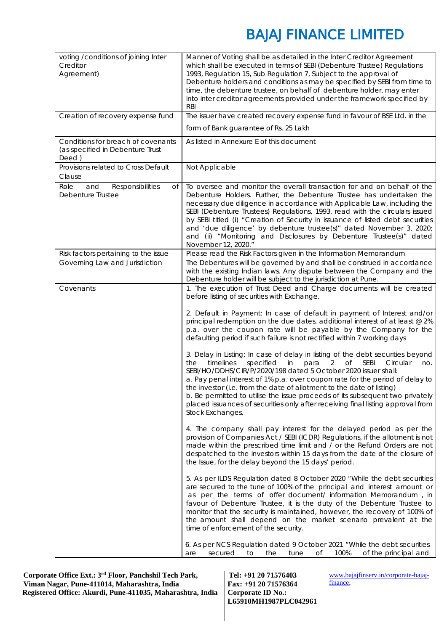| voting /conditions of joining Inter<br>Creditor<br>Agreement)                   | Manner of Voting shall be as detailed in the Inter Creditor Agreement<br>which shall be executed in terms of SEBI (Debenture Trustee) Regulations<br>1993, Regulation 15, Sub Regulation 7, Subject to the approval of<br>Debenture holders and conditions as may be specified by SEBI from time to<br>time, the debenture trustee, on behalf of debenture holder, may enter<br>into inter creditor agreements provided under the framework specified by<br><b>RBI</b>                                                                                                                                                                                                                                                                                                                                                                                                                                                                                                                                                                                                                                                                                                                                                                                                                                                                                                                                                                                                                                                                                                                                                                                                                                                                                                                                                                                                                                                                                                                                                                                        |
|---------------------------------------------------------------------------------|---------------------------------------------------------------------------------------------------------------------------------------------------------------------------------------------------------------------------------------------------------------------------------------------------------------------------------------------------------------------------------------------------------------------------------------------------------------------------------------------------------------------------------------------------------------------------------------------------------------------------------------------------------------------------------------------------------------------------------------------------------------------------------------------------------------------------------------------------------------------------------------------------------------------------------------------------------------------------------------------------------------------------------------------------------------------------------------------------------------------------------------------------------------------------------------------------------------------------------------------------------------------------------------------------------------------------------------------------------------------------------------------------------------------------------------------------------------------------------------------------------------------------------------------------------------------------------------------------------------------------------------------------------------------------------------------------------------------------------------------------------------------------------------------------------------------------------------------------------------------------------------------------------------------------------------------------------------------------------------------------------------------------------------------------------------|
| Creation of recovery expense fund                                               | The issuer have created recovery expense fund in favour of BSE Ltd. in the                                                                                                                                                                                                                                                                                                                                                                                                                                                                                                                                                                                                                                                                                                                                                                                                                                                                                                                                                                                                                                                                                                                                                                                                                                                                                                                                                                                                                                                                                                                                                                                                                                                                                                                                                                                                                                                                                                                                                                                    |
|                                                                                 | form of Bank guarantee of Rs. 25 Lakh                                                                                                                                                                                                                                                                                                                                                                                                                                                                                                                                                                                                                                                                                                                                                                                                                                                                                                                                                                                                                                                                                                                                                                                                                                                                                                                                                                                                                                                                                                                                                                                                                                                                                                                                                                                                                                                                                                                                                                                                                         |
| Conditions for breach of covenants<br>(as specified in Debenture Trust<br>Deed) | As listed in Annexure E of this document                                                                                                                                                                                                                                                                                                                                                                                                                                                                                                                                                                                                                                                                                                                                                                                                                                                                                                                                                                                                                                                                                                                                                                                                                                                                                                                                                                                                                                                                                                                                                                                                                                                                                                                                                                                                                                                                                                                                                                                                                      |
| Provisions related to Cross Default<br>Clause                                   | Not Applicable                                                                                                                                                                                                                                                                                                                                                                                                                                                                                                                                                                                                                                                                                                                                                                                                                                                                                                                                                                                                                                                                                                                                                                                                                                                                                                                                                                                                                                                                                                                                                                                                                                                                                                                                                                                                                                                                                                                                                                                                                                                |
| Role<br>and<br>Responsibilities<br>Оf<br>Debenture Trustee                      | To oversee and monitor the overall transaction for and on behalf of the<br>Debenture Holders. Further, the Debenture Trustee has undertaken the<br>necessary due diligence in accordance with Applicable Law, including the<br>SEBI (Debenture Trustees) Regulations, 1993, read with the circulars issued<br>by SEBI titled (i) "Creation of Security in issuance of listed debt securities<br>and 'due diligence' by debenture trustee(s)" dated November 3, 2020;<br>and (ii) "Monitoring and Disclosures by Debenture Trustee(s)" dated<br>November 12, 2020."                                                                                                                                                                                                                                                                                                                                                                                                                                                                                                                                                                                                                                                                                                                                                                                                                                                                                                                                                                                                                                                                                                                                                                                                                                                                                                                                                                                                                                                                                            |
| Risk factors pertaining to the issue                                            | Please read the Risk Factors given in the Information Memorandum                                                                                                                                                                                                                                                                                                                                                                                                                                                                                                                                                                                                                                                                                                                                                                                                                                                                                                                                                                                                                                                                                                                                                                                                                                                                                                                                                                                                                                                                                                                                                                                                                                                                                                                                                                                                                                                                                                                                                                                              |
| Governing Law and Jurisdiction                                                  | The Debentures will be governed by and shall be construed in accordance<br>with the existing Indian laws. Any dispute between the Company and the<br>Debenture holder will be subject to the jurisdiction at Pune.                                                                                                                                                                                                                                                                                                                                                                                                                                                                                                                                                                                                                                                                                                                                                                                                                                                                                                                                                                                                                                                                                                                                                                                                                                                                                                                                                                                                                                                                                                                                                                                                                                                                                                                                                                                                                                            |
| Covenants                                                                       | 1. The execution of Trust Deed and Charge documents will be created<br>before listing of securities with Exchange.<br>2. Default in Payment: In case of default in payment of Interest and/or<br>principal redemption on the due dates, additional interest of at least @ 2%<br>p.a. over the coupon rate will be payable by the Company for the<br>defaulting period if such failure is not rectified within 7 working days<br>3. Delay in Listing: In case of delay in listing of the debt securities beyond<br>specified<br>Of<br><b>SEBI</b><br>timelines<br>in<br>para<br>2<br>Circular<br>the<br>no.<br>SEBI/HO/DDHS/CIR/P/2020/198 dated 5 October 2020 issuer shall:<br>a. Pay penal interest of 1% p.a. over coupon rate for the period of delay to<br>the investor (i.e. from the date of allotment to the date of listing)<br>b. Be permitted to utilise the issue proceeds of its subsequent two privately<br>placed issuances of securities only after receiving final listing approval from<br>Stock Exchanges.<br>4. The company shall pay interest for the delayed period as per the<br>provision of Companies Act / SEBI (ICDR) Regulations, if the allotment is not<br>made within the prescribed time limit and / or the Refund Orders are not<br>despatched to the investors within 15 days from the date of the closure of<br>the Issue, for the delay beyond the 15 days' period.<br>5. As per ILDS Regulation dated 8 October 2020 "While the debt securities<br>are secured to the tune of 100% of the principal and interest amount or<br>as per the terms of offer document/ information Memorandum, in<br>favour of Debenture Trustee, it is the duty of the Debenture Trustee to<br>monitor that the security is maintained, however, the recovery of 100% of<br>the amount shall depend on the market scenario prevalent at the<br>time of enforcement of the security.<br>6. As per NCS Regulation dated 9 October 2021 "While the debt securities<br>100%<br>of the principal and<br>secured<br>the<br>tune<br>are<br>to<br>Οf |

 **Corporate Office Ext.: 3rd Floor, Panchshil Tech Park, Viman Nagar, Pune-411014, Maharashtra, India Registered Office: Akurdi, Pune-411035, Maharashtra, India** 

**Tel: +91 20 71576403 Fax: +91 20 71576364 Corporate ID No.: L65910MH1987PLC042961**